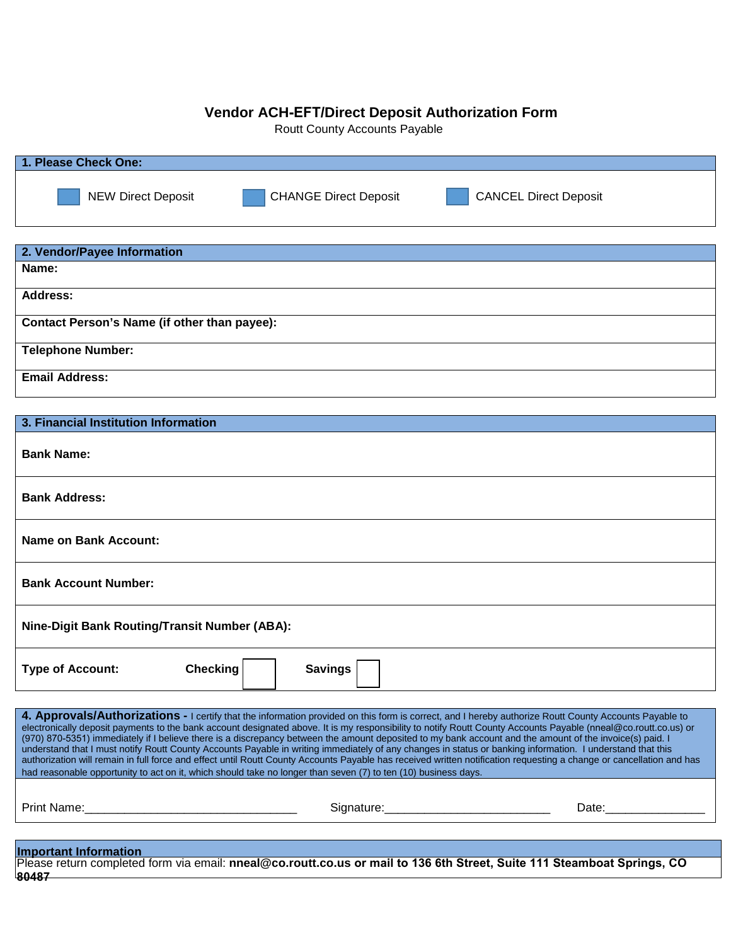## **Vendor ACH-EFT/Direct Deposit Authorization Form**

Routt County Accounts Payable

| 1. Please Check One:                                                                                                                                                                                                                                                                                                                                                                                                                                                                                                                                                                                                                                                                                                                                                                                                                                                                                                                          |                              |                                                                                                                         |  |
|-----------------------------------------------------------------------------------------------------------------------------------------------------------------------------------------------------------------------------------------------------------------------------------------------------------------------------------------------------------------------------------------------------------------------------------------------------------------------------------------------------------------------------------------------------------------------------------------------------------------------------------------------------------------------------------------------------------------------------------------------------------------------------------------------------------------------------------------------------------------------------------------------------------------------------------------------|------------------------------|-------------------------------------------------------------------------------------------------------------------------|--|
| <b>NEW Direct Deposit</b>                                                                                                                                                                                                                                                                                                                                                                                                                                                                                                                                                                                                                                                                                                                                                                                                                                                                                                                     | <b>CHANGE Direct Deposit</b> | <b>CANCEL Direct Deposit</b>                                                                                            |  |
| 2. Vendor/Payee Information                                                                                                                                                                                                                                                                                                                                                                                                                                                                                                                                                                                                                                                                                                                                                                                                                                                                                                                   |                              |                                                                                                                         |  |
| Name:                                                                                                                                                                                                                                                                                                                                                                                                                                                                                                                                                                                                                                                                                                                                                                                                                                                                                                                                         |                              |                                                                                                                         |  |
| <b>Address:</b>                                                                                                                                                                                                                                                                                                                                                                                                                                                                                                                                                                                                                                                                                                                                                                                                                                                                                                                               |                              |                                                                                                                         |  |
| Contact Person's Name (if other than payee):                                                                                                                                                                                                                                                                                                                                                                                                                                                                                                                                                                                                                                                                                                                                                                                                                                                                                                  |                              |                                                                                                                         |  |
| <b>Telephone Number:</b>                                                                                                                                                                                                                                                                                                                                                                                                                                                                                                                                                                                                                                                                                                                                                                                                                                                                                                                      |                              |                                                                                                                         |  |
| <b>Email Address:</b>                                                                                                                                                                                                                                                                                                                                                                                                                                                                                                                                                                                                                                                                                                                                                                                                                                                                                                                         |                              |                                                                                                                         |  |
|                                                                                                                                                                                                                                                                                                                                                                                                                                                                                                                                                                                                                                                                                                                                                                                                                                                                                                                                               |                              |                                                                                                                         |  |
| 3. Financial Institution Information                                                                                                                                                                                                                                                                                                                                                                                                                                                                                                                                                                                                                                                                                                                                                                                                                                                                                                          |                              |                                                                                                                         |  |
| <b>Bank Name:</b>                                                                                                                                                                                                                                                                                                                                                                                                                                                                                                                                                                                                                                                                                                                                                                                                                                                                                                                             |                              |                                                                                                                         |  |
| <b>Bank Address:</b>                                                                                                                                                                                                                                                                                                                                                                                                                                                                                                                                                                                                                                                                                                                                                                                                                                                                                                                          |                              |                                                                                                                         |  |
| <b>Name on Bank Account:</b>                                                                                                                                                                                                                                                                                                                                                                                                                                                                                                                                                                                                                                                                                                                                                                                                                                                                                                                  |                              |                                                                                                                         |  |
| <b>Bank Account Number:</b>                                                                                                                                                                                                                                                                                                                                                                                                                                                                                                                                                                                                                                                                                                                                                                                                                                                                                                                   |                              |                                                                                                                         |  |
| <b>Nine-Digit Bank Routing/Transit Number (ABA):</b>                                                                                                                                                                                                                                                                                                                                                                                                                                                                                                                                                                                                                                                                                                                                                                                                                                                                                          |                              |                                                                                                                         |  |
| <b>Type of Account:</b><br><b>Checking</b>                                                                                                                                                                                                                                                                                                                                                                                                                                                                                                                                                                                                                                                                                                                                                                                                                                                                                                    | <b>Savings</b>               |                                                                                                                         |  |
| 4. Approvals/Authorizations - I certify that the information provided on this form is correct, and I hereby authorize Routt County Accounts Payable to<br>electronically deposit payments to the bank account designated above. It is my responsibility to notify Routt County Accounts Payable (nneal@co.routt.co.us) or<br>(970) 870-5351) immediately if I believe there is a discrepancy between the amount deposited to my bank account and the amount of the invoice(s) paid. I<br>understand that I must notify Routt County Accounts Payable in writing immediately of any changes in status or banking information. I understand that this<br>authorization will remain in full force and effect until Routt County Accounts Payable has received written notification requesting a change or cancellation and has<br>had reasonable opportunity to act on it, which should take no longer than seven (7) to ten (10) business days. |                              |                                                                                                                         |  |
|                                                                                                                                                                                                                                                                                                                                                                                                                                                                                                                                                                                                                                                                                                                                                                                                                                                                                                                                               |                              |                                                                                                                         |  |
| <b>Important Information</b>                                                                                                                                                                                                                                                                                                                                                                                                                                                                                                                                                                                                                                                                                                                                                                                                                                                                                                                  |                              | Please return completed form via email: nneal@co.routt.co.us or mail to 136 6th Street, Suite 111 Steamboat Springs, CO |  |

**80487**